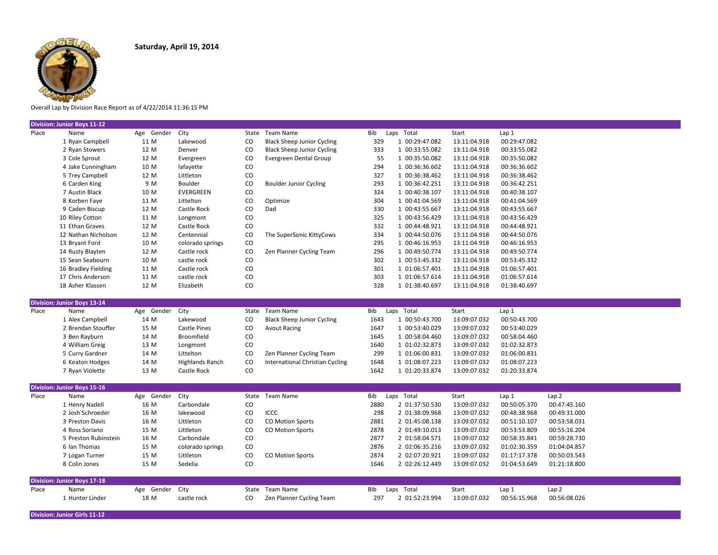

Overall Lap by Division Race Report as of 4/22/2014 11:36:15 PM

|       | <b>Division: Junior Boys 11-12</b> |            |                     |           |                                   |      |                |              |              |                  |  |
|-------|------------------------------------|------------|---------------------|-----------|-----------------------------------|------|----------------|--------------|--------------|------------------|--|
| Place | Name                               | Age Gender | City                |           | State Team Name                   | Bib  | Laps Total     | Start        | Lap1         |                  |  |
|       | 1 Ryan Campbell                    | 11 M       | Lakewood            | CO        | <b>Black Sheep Junior Cycling</b> | 329  | 1 00:29:47.082 | 13:11:04.918 | 00:29:47.082 |                  |  |
|       | 2 Ryan Stowers                     | 12 M       | Denver              | CO        | <b>Black Sheep Junior Cycling</b> | 333  | 1 00:33:55.082 | 13:11:04.918 | 00:33:55.082 |                  |  |
|       | 3 Cole Sprout                      | 12 M       | Evergreen           | $\rm{CO}$ | Evergreen Dental Group            | 55   | 1 00:35:50.082 | 13:11:04.918 | 00:35:50.082 |                  |  |
|       | 4 Jake Cunningham                  | 10 M       | lafayette           | CO        |                                   | 294  | 1 00:36:36.602 | 13:11:04.918 | 00:36:36.602 |                  |  |
|       | 5 Trey Campbell                    | 12 M       | Littleton           | $\rm{CO}$ |                                   | 327  | 1 00:36:38.462 | 13:11:04.918 | 00:36:38.462 |                  |  |
|       | 6 Carden King                      | 9 M        | Boulder             | CO        | <b>Boulder Junior Cycling</b>     | 293  | 1 00:36:42.251 | 13:11:04.918 | 00:36:42.251 |                  |  |
|       | 7 Austin Black                     | 10 M       | EVERGREEN           | CO        |                                   | 324  | 1 00:40:38.107 | 13:11:04.918 | 00:40:38.107 |                  |  |
|       | 8 Korben Faye                      | 11 M       | Littelton           | CO        | Optimize                          | 304  | 1 00:41:04.569 | 13:11:04.918 | 00:41:04.569 |                  |  |
|       | 9 Caden Biscup                     | 12 M       | Castle Rock         | CO        | Dad                               | 330  | 1 00:43:55.667 | 13:11:04.918 | 00:43:55.667 |                  |  |
|       | 10 Riley Cotton                    | 11 M       | Longmont            | CO        |                                   | 325  | 1 00:43:56.429 | 13:11:04.918 | 00:43:56.429 |                  |  |
|       | 11 Ethan Graves                    | 12 M       | Castle Rock         | CO        |                                   | 332  | 1 00:44:48.921 | 13:11:04.918 | 00:44:48.921 |                  |  |
|       | 12 Nathan Nicholson                | 12 M       | Centennial          | CO        | The SuperSonic KittyCows          | 334  | 1 00:44:50.076 | 13:11:04.918 | 00:44:50.076 |                  |  |
|       | 13 Bryant Ford                     | 10 M       | colorado springs    | CO        |                                   | 295  | 1 00:46:16.953 | 13:11:04.918 | 00:46:16.953 |                  |  |
|       | 14 Rusty Blayten                   | 12 M       | Castle rock         | $\rm{CO}$ | Zen Planner Cycling Team          | 296  | 1 00:49:50.774 | 13:11:04.918 | 00:49:50.774 |                  |  |
|       | 15 Sean Seabourn                   | 10 M       | castle rock         | CO        |                                   | 302  | 1 00:53:45.332 | 13:11:04.918 | 00:53:45.332 |                  |  |
|       | 16 Bradley Fielding                | 11 M       | Castle rock         | $\rm{CO}$ |                                   | 301  | 1 01:06:57.401 | 13:11:04.918 | 01:06:57.401 |                  |  |
|       | 17 Chris Anderson                  | 11 M       | castle rock         | CO        |                                   | 303  | 1 01:06:57.614 | 13:11:04.918 | 01:06:57.614 |                  |  |
|       | 18 Asher Klassen                   | 12 M       | Elizabeth           | CO        |                                   | 328  | 1 01:38:40.697 | 13:11:04.918 | 01:38:40.697 |                  |  |
|       |                                    |            |                     |           |                                   |      |                |              |              |                  |  |
|       | <b>Division: Junior Boys 13-14</b> |            |                     |           |                                   |      |                |              |              |                  |  |
| Place | Name                               | Age Gender | City                |           | State Team Name                   | Bib  | Laps Total     | Start        | Lap1         |                  |  |
|       | 1 Alex Campbell                    | 14 M       | Lakewood            | CO        | <b>Black Sheep Junior Cycling</b> | 1643 | 1 00:50:43.700 | 13:09:07.032 | 00:50:43.700 |                  |  |
|       | 2 Brendan Stouffer                 | 15 M       | <b>Castle Pines</b> | CO        | <b>Avout Racing</b>               | 1647 | 1 00:53:40.029 | 13:09:07.032 | 00:53:40.029 |                  |  |
|       | 3 Ben Rayburn                      | 14 M       | Broomfield          | $\rm CO$  |                                   | 1645 | 1 00:58:04.460 | 13:09:07.032 | 00:58:04.460 |                  |  |
|       | 4 William Greig                    | 13 M       | Longmont            | CO        |                                   | 1640 | 1 01:02:32.873 | 13:09:07.032 | 01:02:32.873 |                  |  |
|       | 5 Curry Gardner                    | 14 M       | Littelton           | CO        | Zen Planner Cycling Team          | 299  | 1 01:06:00.831 | 13:09:07.032 | 01:06:00.831 |                  |  |
|       | 6 Keaton Hodges                    | 14 M       | Highlands Ranch     | CO        | International Christian Cycling   | 1648 | 1 01:08:07.223 | 13:09:07.032 | 01:08:07.223 |                  |  |
|       | 7 Ryan Violette                    | 13 M       | Castle Rock         | CO        |                                   | 1642 | 1 01:20:33.874 | 13:09:07.032 | 01:20:33.874 |                  |  |
|       |                                    |            |                     |           |                                   |      |                |              |              |                  |  |
|       | <b>Division: Junior Boys 15-16</b> |            |                     |           |                                   |      |                |              |              |                  |  |
| Place | Name                               | Age Gender | City                | State     | <b>Team Name</b>                  | Bib  | Laps Total     | Start        | Lap 1        | Lap <sub>2</sub> |  |
|       | 1 Henry Nadell                     | 16 M       | Carbondale          | CO        |                                   | 2880 | 2 01:37:50.530 | 13:09:07.032 | 00:50:05.370 | 00:47:45.160     |  |
|       | 2 Josh Schroeder                   | 16 M       | lakewood            | CO        | ICCC                              | 298  | 2 01:38:09.968 | 13:09:07.032 | 00:48:38.968 | 00:49:31.000     |  |
|       | 3 Preston Davis                    | 16 M       | Littleton           | CO        | <b>CO Motion Sports</b>           | 2881 | 2 01:45:08.138 | 13:09:07.032 | 00:51:10.107 | 00:53:58.031     |  |
|       | 4 Ross Soriano                     | 15 M       | Littleton           | $\rm{CO}$ | <b>CO Motion Sports</b>           | 2878 | 2 01:49:10.013 | 13:09:07.032 | 00:53:53.809 | 00:55:16.204     |  |
|       | 5 Preston Rubinstein               | 16 M       | Carbondale          | CO        |                                   | 2877 | 2 01:58:04.571 | 13:09:07.032 | 00:58:35.841 | 00:59:28.730     |  |
|       | 6 Ian Thomas                       | 15 M       | colorado springs    | CO        |                                   | 2876 | 2 02:06:35.216 | 13:09:07.032 | 01:02:30.359 | 01:04:04.857     |  |
|       | 7 Logan Turner                     | 15 M       | Littleton           | CO        | <b>CO Motion Sports</b>           | 2874 | 2 02:07:20.921 | 13:09:07.032 | 01:17:17.378 | 00:50:03.543     |  |
|       | 8 Colin Jones                      | 15 M       | Sedelia             | CO        |                                   | 1646 | 2 02:26:12.449 | 13:09:07.032 | 01:04:53.649 | 01:21:18.800     |  |
|       |                                    |            |                     |           |                                   |      |                |              |              |                  |  |
|       | <b>Division: Junior Boys 17-18</b> |            |                     |           |                                   |      |                |              |              |                  |  |
| Place | Name                               | Age Gender | City                | State     | Team Name                         | Bib  | Laps Total     | Start        | Lap1         | Lap <sub>2</sub> |  |
|       | 1 Hunter Linder                    | 18 M       | castle rock         | CO.       | Zen Planner Cycling Team          | 297  | 2 01:52:23.994 | 13:09:07.032 | 00:56:15.968 | 00:56:08.026     |  |
|       |                                    |            |                     |           |                                   |      |                |              |              |                  |  |

**Division: Junior Girls 11-12**